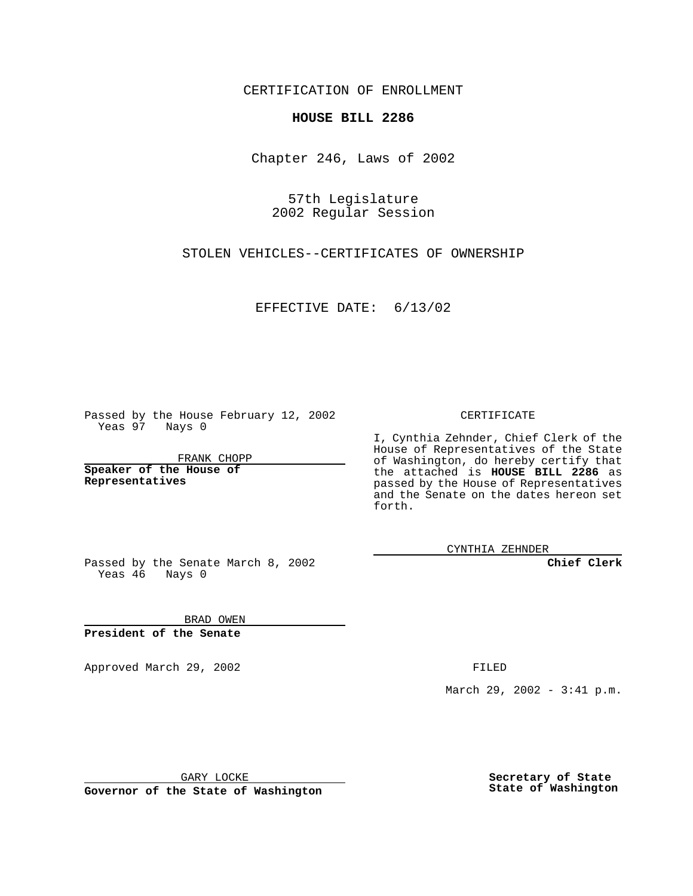CERTIFICATION OF ENROLLMENT

## **HOUSE BILL 2286**

Chapter 246, Laws of 2002

57th Legislature 2002 Regular Session

STOLEN VEHICLES--CERTIFICATES OF OWNERSHIP

EFFECTIVE DATE: 6/13/02

Passed by the House February 12, 2002 Yeas 97 Nays 0

FRANK CHOPP

**Speaker of the House of Representatives**

CERTIFICATE

I, Cynthia Zehnder, Chief Clerk of the House of Representatives of the State of Washington, do hereby certify that the attached is **HOUSE BILL 2286** as passed by the House of Representatives and the Senate on the dates hereon set forth.

CYNTHIA ZEHNDER

**Chief Clerk**

Passed by the Senate March 8, 2002 Yeas 46 Nays 0

BRAD OWEN **President of the Senate**

Approved March 29, 2002 **FILED** 

March 29, 2002 - 3:41 p.m.

GARY LOCKE

**Governor of the State of Washington**

**Secretary of State State of Washington**